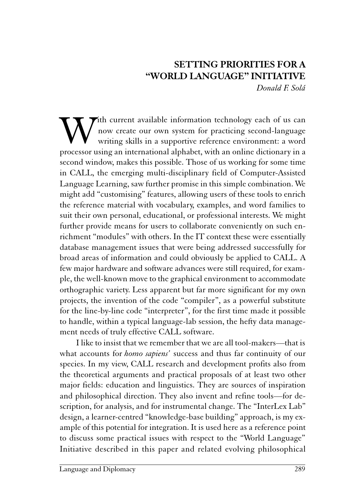## SETTING PRIORITIES FOR A "WORLD LANGUAGE" INITIATIVE Donald F. Solá

**W**ith current available information technology each of us can now create our own system for practicing second-language writing skills in a supportive reference environment: a word processor using an international alphabet now create our own system for practicing second-language writing skills in a supportive reference environment: a word processor using an international alphabet, with an online dictionary in a second window, makes this possible. Those of us working for some time in CALL, the emerging multi-disciplinary field of Computer-Assisted Language Learning, saw further promise in this simple combination. We might add "customising" features, allowing users of these tools to enrich the reference material with vocabulary, examples, and word families to suit their own personal, educational, or professional interests. We might further provide means for users to collaborate conveniently on such enrichment "modules" with others. In the IT context these were essentially database management issues that were being addressed successfully for broad areas of information and could obviously be applied to CALL. A few major hardware and software advances were still required, for example, the well-known move to the graphical environment to accommodate orthographic variety. Less apparent but far more significant for my own projects, the invention of the code "compiler", as a powerful substitute for the line-by-line code "interpreter", for the first time made it possible to handle, within a typical language-lab session, the hefty data management needs of truly effective CALL software.

I like to insist that we remember that we are all tool-makers—that is what accounts for *homo sapiens'* success and thus far continuity of our species. In my view, CALL research and development profits also from the theoretical arguments and practical proposals of at least two other major fields: education and linguistics. They are sources of inspiration and philosophical direction. They also invent and refine tools—for description, for analysis, and for instrumental change. The "InterLex Lab" design, a learner-centred "knowledge-base building" approach, is my example of this potential for integration. It is used here as a reference point to discuss some practical issues with respect to the "World Language" Initiative described in this paper and related evolving philosophical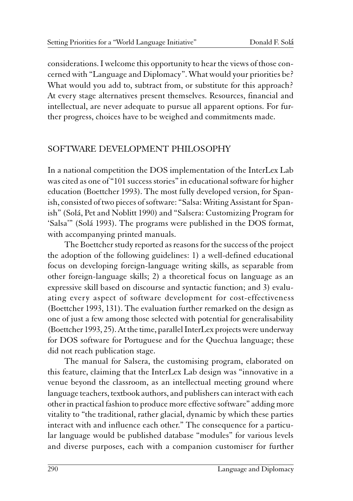considerations. I welcome this opportunity to hear the views of those concerned with "Language and Diplomacy". What would your priorities be? What would you add to, subtract from, or substitute for this approach? At every stage alternatives present themselves. Resources, financial and intellectual, are never adequate to pursue all apparent options. For further progress, choices have to be weighed and commitments made.

## SOFTWARE DEVELOPMENT PHILOSOPHY

In a national competition the DOS implementation of the InterLex Lab was cited as one of "101 success stories" in educational software for higher education (Boettcher 1993). The most fully developed version, for Spanish, consisted of two pieces of software: "Salsa: Writing Assistant for Spanish" (Solá, Pet and Noblitt 1990) and "Salsera: Customizing Program for 'Salsa'" (Solá 1993). The programs were published in the DOS format, with accompanying printed manuals.

The Boettcher study reported as reasons for the success of the project the adoption of the following guidelines: 1) a well-defined educational focus on developing foreign-language writing skills, as separable from other foreign-language skills; 2) a theoretical focus on language as an expressive skill based on discourse and syntactic function; and 3) evaluating every aspect of software development for cost-effectiveness (Boettcher 1993, 131). The evaluation further remarked on the design as one of just a few among those selected with potential for generalisability (Boettcher 1993, 25). At the time, parallel InterLex projects were underway for DOS software for Portuguese and for the Quechua language; these did not reach publication stage.

The manual for Salsera, the customising program, elaborated on this feature, claiming that the InterLex Lab design was "innovative in a venue beyond the classroom, as an intellectual meeting ground where language teachers, textbook authors, and publishers can interact with each other in practical fashion to produce more effective software" adding more vitality to "the traditional, rather glacial, dynamic by which these parties interact with and influence each other." The consequence for a particular language would be published database "modules" for various levels and diverse purposes, each with a companion customiser for further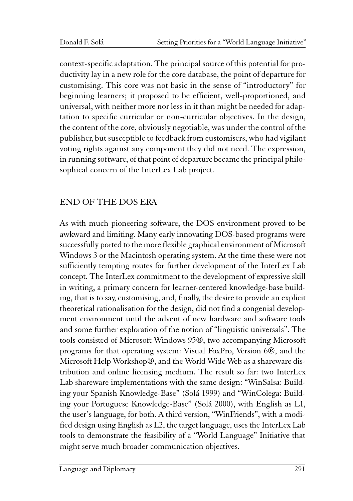context-specific adaptation. The principal source of this potential for productivity lay in a new role for the core database, the point of departure for customising. This core was not basic in the sense of "introductory" for beginning learners; it proposed to be efficient, well-proportioned, and universal, with neither more nor less in it than might be needed for adaptation to specific curricular or non-curricular objectives. In the design, the content of the core, obviously negotiable, was under the control of the publisher, but susceptible to feedback from customisers, who had vigilant voting rights against any component they did not need. The expression, in running software, of that point of departure became the principal philosophical concern of the InterLex Lab project.

# END OF THE DOS ERA

As with much pioneering software, the DOS environment proved to be awkward and limiting. Many early innovating DOS-based programs were successfully ported to the more flexible graphical environment of Microsoft Windows 3 or the Macintosh operating system. At the time these were not sufficiently tempting routes for further development of the InterLex Lab concept. The InterLex commitment to the development of expressive skill in writing, a primary concern for learner-centered knowledge-base building, that is to say, customising, and, finally, the desire to provide an explicit theoretical rationalisation for the design, did not find a congenial development environment until the advent of new hardware and software tools and some further exploration of the notion of "linguistic universals". The tools consisted of Microsoft Windows 95®, two accompanying Microsoft programs for that operating system: Visual FoxPro, Version 6®, and the Microsoft Help Workshop®, and the World Wide Web as a shareware distribution and online licensing medium. The result so far: two InterLex Lab shareware implementations with the same design: "WinSalsa: Building your Spanish Knowledge-Base" (Solá 1999) and "WinColega: Building your Portuguese Knowledge-Base" (Solá 2000), with English as L1, the user's language, for both. A third version, "WinFriends", with a modified design using English as L2, the target language, uses the InterLex Lab tools to demonstrate the feasibility of a "World Language" Initiative that might serve much broader communication objectives.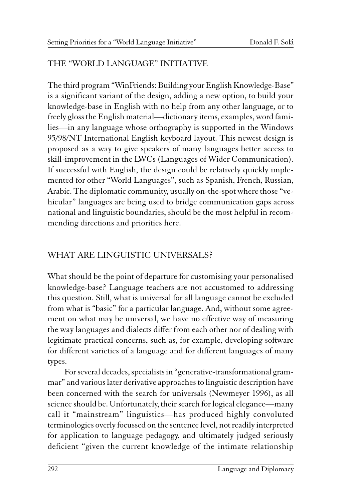## THE "WORLD LANGUAGE" INITIATIVE

The third program "WinFriends: Building your English Knowledge-Base" is a significant variant of the design, adding a new option, to build your knowledge-base in English with no help from any other language, or to freely gloss the English material—dictionary items, examples, word families—in any language whose orthography is supported in the Windows 95/98/NT International English keyboard layout. This newest design is proposed as a way to give speakers of many languages better access to skill-improvement in the LWCs (Languages of Wider Communication). If successful with English, the design could be relatively quickly implemented for other "World Languages", such as Spanish, French, Russian, Arabic. The diplomatic community, usually on-the-spot where those "vehicular" languages are being used to bridge communication gaps across national and linguistic boundaries, should be the most helpful in recommending directions and priorities here.

## WHAT ARE LINGUISTIC UNIVERSALS?

What should be the point of departure for customising your personalised knowledge-base? Language teachers are not accustomed to addressing this question. Still, what is universal for all language cannot be excluded from what is "basic" for a particular language. And, without some agreement on what may be universal, we have no effective way of measuring the way languages and dialects differ from each other nor of dealing with legitimate practical concerns, such as, for example, developing software for different varieties of a language and for different languages of many types.

For several decades, specialists in "generative-transformational grammar" and various later derivative approaches to linguistic description have been concerned with the search for universals (Newmeyer 1996), as all science should be. Unfortunately, their search for logical elegance—many call it "mainstream" linguistics—has produced highly convoluted terminologies overly focussed on the sentence level, not readily interpreted for application to language pedagogy, and ultimately judged seriously deficient "given the current knowledge of the intimate relationship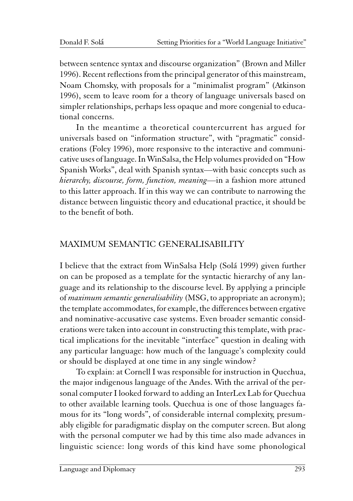between sentence syntax and discourse organization" (Brown and Miller 1996). Recent reflections from the principal generator of this mainstream, Noam Chomsky, with proposals for a "minimalist program" (Atkinson 1996), seem to leave room for a theory of language universals based on simpler relationships, perhaps less opaque and more congenial to educational concerns.

In the meantime a theoretical countercurrent has argued for universals based on "information structure", with "pragmatic" considerations (Foley 1996), more responsive to the interactive and communicative uses of language. In WinSalsa, the Help volumes provided on "How Spanish Works", deal with Spanish syntax—with basic concepts such as hierarchy, discourse, form, function, meaning—in a fashion more attuned to this latter approach. If in this way we can contribute to narrowing the distance between linguistic theory and educational practice, it should be to the benefit of both.

# MAXIMUM SEMANTIC GENERALISABILITY

I believe that the extract from WinSalsa Help (Solá 1999) given further on can be proposed as a template for the syntactic hierarchy of any language and its relationship to the discourse level. By applying a principle of *maximum semantic generalisability* (MSG, to appropriate an acronym); the template accommodates, for example, the differences between ergative and nominative-accusative case systems. Even broader semantic considerations were taken into account in constructing this template, with practical implications for the inevitable "interface" question in dealing with any particular language: how much of the language's complexity could or should be displayed at one time in any single window?

To explain: at Cornell I was responsible for instruction in Quechua, the major indigenous language of the Andes. With the arrival of the personal computer I looked forward to adding an InterLex Lab for Quechua to other available learning tools. Quechua is one of those languages famous for its "long words", of considerable internal complexity, presumably eligible for paradigmatic display on the computer screen. But along with the personal computer we had by this time also made advances in linguistic science: long words of this kind have some phonological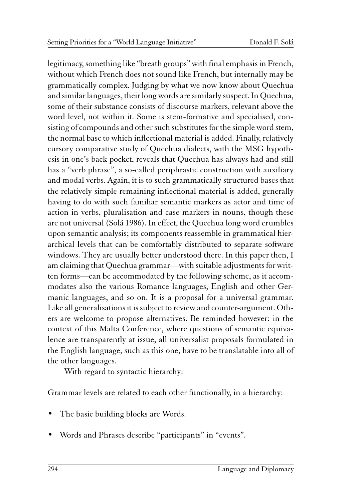legitimacy, something like "breath groups" with final emphasis in French, without which French does not sound like French, but internally may be grammatically complex. Judging by what we now know about Quechua and similar languages, their long words are similarly suspect. In Quechua, some of their substance consists of discourse markers, relevant above the word level, not within it. Some is stem-formative and specialised, consisting of compounds and other such substitutes for the simple word stem, the normal base to which inflectional material is added. Finally, relatively cursory comparative study of Quechua dialects, with the MSG hypothesis in one's back pocket, reveals that Quechua has always had and still has a "verb phrase", a so-called periphrastic construction with auxiliary and modal verbs. Again, it is to such grammatically structured bases that the relatively simple remaining inflectional material is added, generally having to do with such familiar semantic markers as actor and time of action in verbs, pluralisation and case markers in nouns, though these are not universal (Solá 1986). In effect, the Quechua long word crumbles upon semantic analysis; its components reassemble in grammatical hierarchical levels that can be comfortably distributed to separate software windows. They are usually better understood there. In this paper then, I am claiming that Quechua grammar—with suitable adjustments for written forms—can be accommodated by the following scheme, as it accommodates also the various Romance languages, English and other Germanic languages, and so on. It is a proposal for a universal grammar. Like all generalisations it is subject to review and counter-argument. Others are welcome to propose alternatives. Be reminded however: in the context of this Malta Conference, where questions of semantic equivalence are transparently at issue, all universalist proposals formulated in the English language, such as this one, have to be translatable into all of the other languages.

With regard to syntactic hierarchy:

Grammar levels are related to each other functionally, in a hierarchy:

- The basic building blocks are Words.
- Words and Phrases describe "participants" in "events".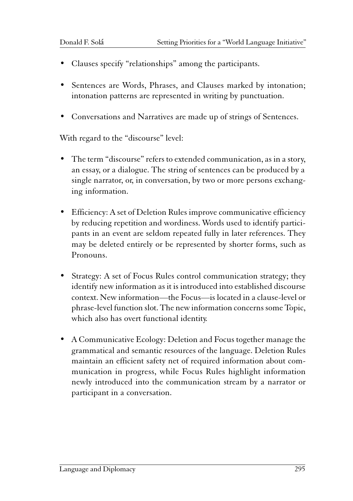- Clauses specify "relationships" among the participants.
- Sentences are Words, Phrases, and Clauses marked by intonation; intonation patterns are represented in writing by punctuation.
- Conversations and Narratives are made up of strings of Sentences.

With regard to the "discourse" level:

- The term "discourse" refers to extended communication, as in a story, an essay, or a dialogue. The string of sentences can be produced by a single narrator, or, in conversation, by two or more persons exchanging information.
- Efficiency: A set of Deletion Rules improve communicative efficiency by reducing repetition and wordiness. Words used to identify participants in an event are seldom repeated fully in later references. They may be deleted entirely or be represented by shorter forms, such as Pronouns.
- Strategy: A set of Focus Rules control communication strategy; they identify new information as it is introduced into established discourse context. New information—the Focus—is located in a clause-level or phrase-level function slot. The new information concerns some Topic, which also has overt functional identity.
- A Communicative Ecology: Deletion and Focus together manage the grammatical and semantic resources of the language. Deletion Rules maintain an efficient safety net of required information about communication in progress, while Focus Rules highlight information newly introduced into the communication stream by a narrator or participant in a conversation.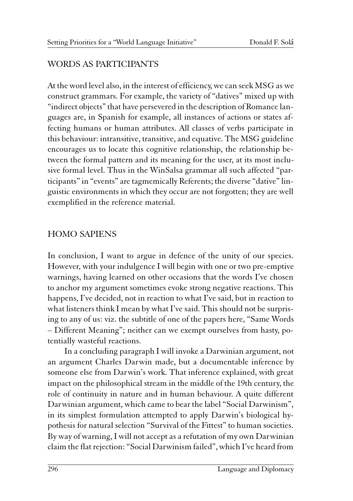## WORDS AS PARTICIPANTS

At the word level also, in the interest of efficiency, we can seek MSG as we construct grammars. For example, the variety of "datives" mixed up with "indirect objects" that have persevered in the description of Romance languages are, in Spanish for example, all instances of actions or states affecting humans or human attributes. All classes of verbs participate in this behaviour: intransitive, transitive, and equative. The MSG guideline encourages us to locate this cognitive relationship, the relationship between the formal pattern and its meaning for the user, at its most inclusive formal level. Thus in the WinSalsa grammar all such affected "participants" in "events" are tagmemically Referents; the diverse "dative" linguistic environments in which they occur are not forgotten; they are well exemplified in the reference material.

## HOMO SAPIENS

In conclusion, I want to argue in defence of the unity of our species. However, with your indulgence I will begin with one or two pre-emptive warnings, having learned on other occasions that the words I've chosen to anchor my argument sometimes evoke strong negative reactions. This happens, I've decided, not in reaction to what I've said, but in reaction to what listeners think I mean by what I've said. This should not be surprising to any of us: viz. the subtitle of one of the papers here, "Same Words – Different Meaning"; neither can we exempt ourselves from hasty, potentially wasteful reactions.

In a concluding paragraph I will invoke a Darwinian argument, not an argument Charles Darwin made, but a documentable inference by someone else from Darwin's work. That inference explained, with great impact on the philosophical stream in the middle of the 19th century, the role of continuity in nature and in human behaviour. A quite different Darwinian argument, which came to bear the label "Social Darwinism", in its simplest formulation attempted to apply Darwin's biological hypothesis for natural selection "Survival of the Fittest" to human societies. By way of warning, I will not accept as a refutation of my own Darwinian claim the flat rejection: "Social Darwinism failed", which I've heard from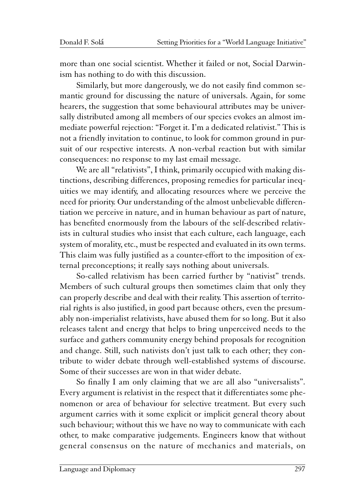more than one social scientist. Whether it failed or not, Social Darwinism has nothing to do with this discussion.

Similarly, but more dangerously, we do not easily find common semantic ground for discussing the nature of universals. Again, for some hearers, the suggestion that some behavioural attributes may be universally distributed among all members of our species evokes an almost immediate powerful rejection: "Forget it. I'm a dedicated relativist." This is not a friendly invitation to continue, to look for common ground in pursuit of our respective interests. A non-verbal reaction but with similar consequences: no response to my last email message.

We are all "relativists", I think, primarily occupied with making distinctions, describing differences, proposing remedies for particular inequities we may identify, and allocating resources where we perceive the need for priority. Our understanding of the almost unbelievable differentiation we perceive in nature, and in human behaviour as part of nature, has benefited enormously from the labours of the self-described relativists in cultural studies who insist that each culture, each language, each system of morality, etc., must be respected and evaluated in its own terms. This claim was fully justified as a counter-effort to the imposition of external preconceptions; it really says nothing about universals.

So-called relativism has been carried further by "nativist" trends. Members of such cultural groups then sometimes claim that only they can properly describe and deal with their reality. This assertion of territorial rights is also justified, in good part because others, even the presumably non-imperialist relativists, have abused them for so long. But it also releases talent and energy that helps to bring unperceived needs to the surface and gathers community energy behind proposals for recognition and change. Still, such nativists don't just talk to each other; they contribute to wider debate through well-established systems of discourse. Some of their successes are won in that wider debate.

So finally I am only claiming that we are all also "universalists". Every argument is relativist in the respect that it differentiates some phenomenon or area of behaviour for selective treatment. But every such argument carries with it some explicit or implicit general theory about such behaviour; without this we have no way to communicate with each other, to make comparative judgements. Engineers know that without general consensus on the nature of mechanics and materials, on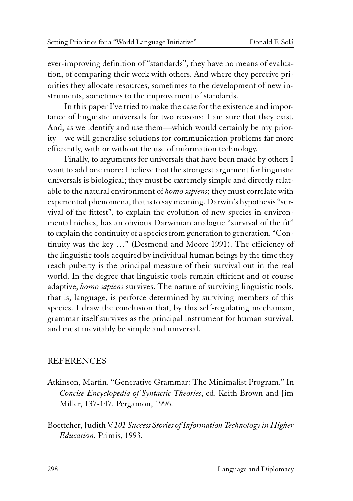ever-improving definition of "standards", they have no means of evaluation, of comparing their work with others. And where they perceive priorities they allocate resources, sometimes to the development of new instruments, sometimes to the improvement of standards.

In this paper I've tried to make the case for the existence and importance of linguistic universals for two reasons: I am sure that they exist. And, as we identify and use them—which would certainly be my priority—we will generalise solutions for communication problems far more efficiently, with or without the use of information technology.

Finally, to arguments for universals that have been made by others I want to add one more: I believe that the strongest argument for linguistic universals is biological; they must be extremely simple and directly relatable to the natural environment of *homo sapiens*; they must correlate with experiential phenomena, that is to say meaning. Darwin's hypothesis "survival of the fittest", to explain the evolution of new species in environmental niches, has an obvious Darwinian analogue "survival of the fit" to explain the continuity of a species from generation to generation. "Continuity was the key …" (Desmond and Moore 1991). The efficiency of the linguistic tools acquired by individual human beings by the time they reach puberty is the principal measure of their survival out in the real world. In the degree that linguistic tools remain efficient and of course adaptive, homo sapiens survives. The nature of surviving linguistic tools, that is, language, is perforce determined by surviving members of this species. I draw the conclusion that, by this self-regulating mechanism, grammar itself survives as the principal instrument for human survival, and must inevitably be simple and universal.

#### REFERENCES

- Atkinson, Martin. "Generative Grammar: The Minimalist Program." In Concise Encyclopedia of Syntactic Theories, ed. Keith Brown and Jim Miller, 137-147. Pergamon, 1996.
- Boettcher, Judith V. 101 Success Stories of Information Technology in Higher Education. Primis, 1993.